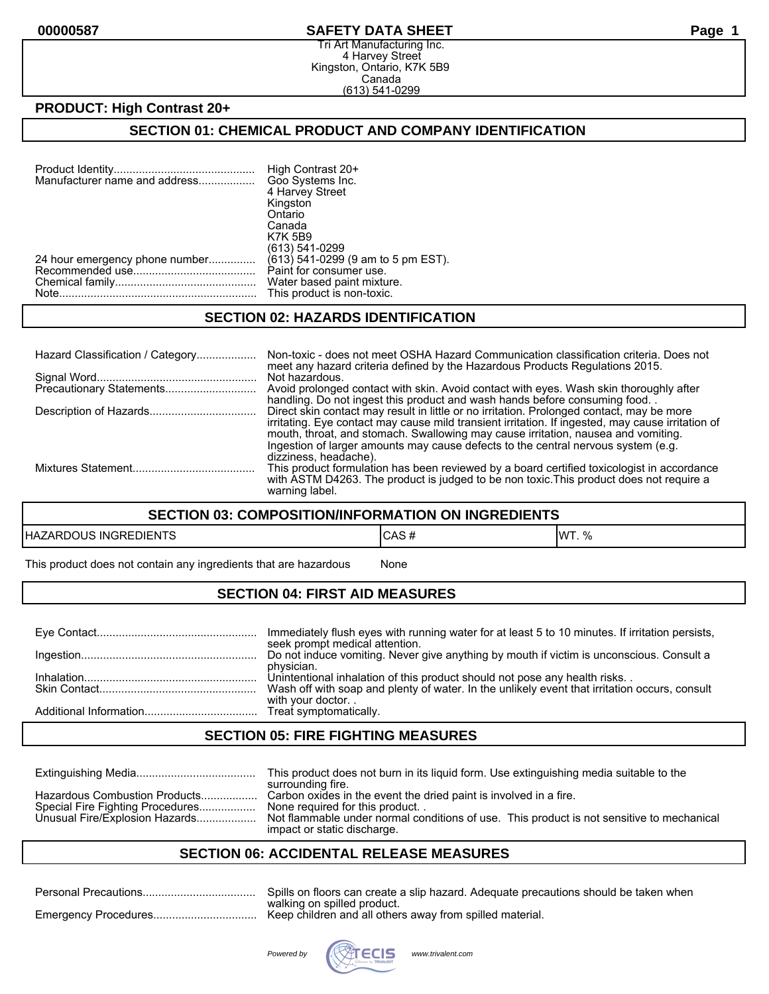#### **00000587 SAFETY DATA SHEET Page 1**

Tri Art Manufacturing Inc. 4 Harvey Street Kingston, Ontario, K7K 5B9 Canada (613) 541-0299

## **PRODUCT: High Contrast 20+**

## **SECTION 01: CHEMICAL PRODUCT AND COMPANY IDENTIFICATION**

| Manufacturer name and address  | High Contrast 20+<br>Goo Systems Inc. |
|--------------------------------|---------------------------------------|
|                                | 4 Harvey Street                       |
|                                | Kingston                              |
|                                | Ontario                               |
|                                | Canada                                |
|                                | <b>K7K 5B9</b>                        |
|                                | (613) 541-0299                        |
| 24 hour emergency phone number | (613) 541-0299 (9 am to 5 pm EST).    |
|                                | Paint for consumer use.               |
|                                | Water based paint mixture.            |
|                                | This product is non-toxic.            |
|                                |                                       |

#### **SECTION 02: HAZARDS IDENTIFICATION**

| Hazard Classification / Category | Non-toxic - does not meet OSHA Hazard Communication classification criteria. Does not<br>meet any hazard criteria defined by the Hazardous Products Regulations 2015.                                                                                                                                                                                                    |
|----------------------------------|--------------------------------------------------------------------------------------------------------------------------------------------------------------------------------------------------------------------------------------------------------------------------------------------------------------------------------------------------------------------------|
|                                  | Not hazardous.<br>Avoid prolonged contact with skin. Avoid contact with eyes. Wash skin thoroughly after<br>handling. Do not ingest this product and wash hands before consuming food.                                                                                                                                                                                   |
|                                  | Direct skin contact may result in little or no irritation. Prolonged contact, may be more<br>irritating. Eye contact may cause mild transient irritation. If ingested, may cause irritation of<br>mouth, throat, and stomach. Swallowing may cause irritation, nausea and vomiting.<br>Ingestion of larger amounts may cause defects to the central nervous system (e.g. |
|                                  | dizziness, headache).<br>This product formulation has been reviewed by a board certified toxicologist in accordance<br>with ASTM D4263. The product is judged to be non toxic. This product does not require a<br>warning label.                                                                                                                                         |

#### **SECTION 03: COMPOSITION/INFORMATION ON INGREDIENTS**

| <b>EDIENTS</b><br>HAZAI<br>RDOUS<br><b>INGRE</b> | $\mathbf{r}$<br>∿רשי<br>$\boldsymbol{\pi}$ | $\Omega$<br><b>IMT</b><br>v, |
|--------------------------------------------------|--------------------------------------------|------------------------------|
|--------------------------------------------------|--------------------------------------------|------------------------------|

This product does not contain any ingredients that are hazardous Mone

## **SECTION 04: FIRST AID MEASURES**

| Immediately flush eyes with running water for at least 5 to 10 minutes. If irritation persists,<br>seek prompt medical attention. |
|-----------------------------------------------------------------------------------------------------------------------------------|
| Do not induce vomiting. Never give anything by mouth if victim is unconscious. Consult a                                          |
| physician.<br>Unintentional inhalation of this product should not pose any health risks                                           |
| Wash off with soap and plenty of water. In the unlikely event that irritation occurs, consult<br>with your doctor                 |
|                                                                                                                                   |

#### **SECTION 05: FIRE FIGHTING MEASURES**

|                                                                                                     | This product does not burn in its liquid form. Use extinguishing media suitable to the<br>surrounding fire.                                                                                                                     |
|-----------------------------------------------------------------------------------------------------|---------------------------------------------------------------------------------------------------------------------------------------------------------------------------------------------------------------------------------|
| Hazardous Combustion Products<br>Special Fire Fighting Procedures<br>Unusual Fire/Explosion Hazards | Carbon oxides in the event the dried paint is involved in a fire.<br>None required for this product<br>Not flammable under normal conditions of use. This product is not sensitive to mechanical<br>impact or static discharge. |

## **SECTION 06: ACCIDENTAL RELEASE MEASURES**

| Spills on floors can create a slip hazard. Adequate precautions should be taken when |
|--------------------------------------------------------------------------------------|
| walking on spilled product.                                                          |

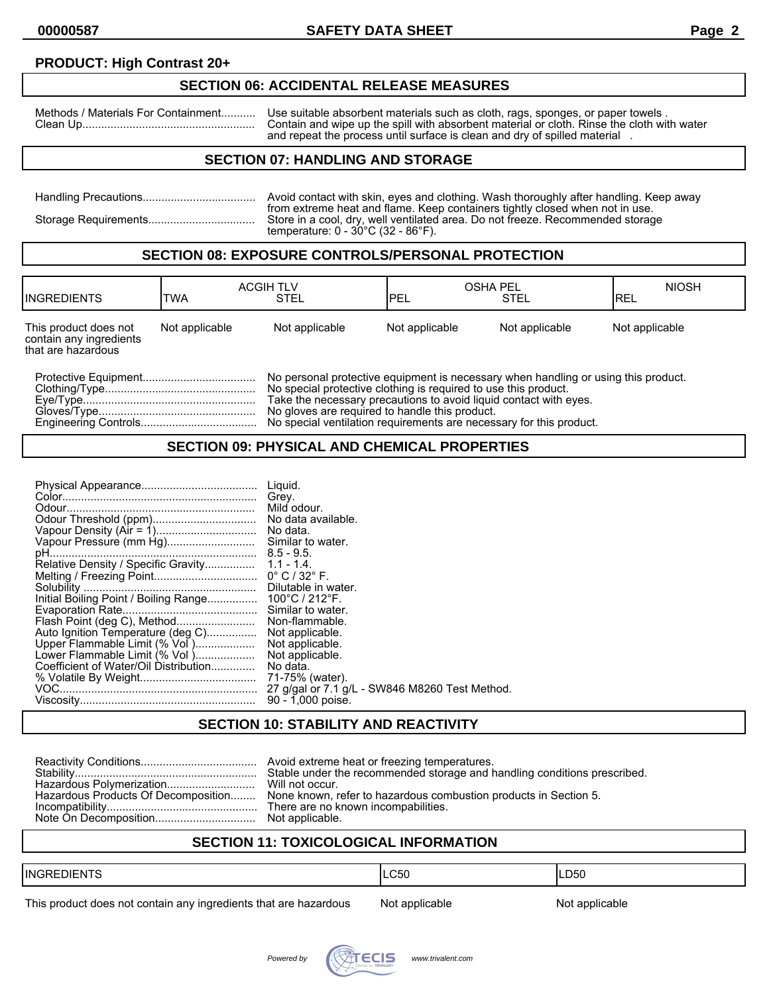## **PRODUCT: High Contrast 20+**

#### **SECTION 06: ACCIDENTAL RELEASE MEASURES**

Methods / Materials For Containment........... Use suitable absorbent materials such as cloth, rags, sponges, or paper towels . Clean Up....................................................... Contain and wipe up the spill with absorbent material or cloth. Rinse the cloth with water and repeat the process until surface is clean and dry of spilled material .

## **SECTION 07: HANDLING AND STORAGE**

| Avoid contact with skin, eyes and clothing. Wash thoroughly after handling. Keep away                                                                                                                                     |
|---------------------------------------------------------------------------------------------------------------------------------------------------------------------------------------------------------------------------|
| from extreme heat and flame. Keep containers tightly closed when not in use.<br>Store in a cool, dry, well ventilated area. Do not freeze. Recommended storage<br>temperature: $0 - 30^{\circ}$ C (32 - 86 $^{\circ}$ F). |

#### **SECTION 08: EXPOSURE CONTROLS/PERSONAL PROTECTION**

| <b>IINGREDIENTS</b>                                                    | TWA            | <b>ACGIH TLV</b><br>STEL                                                                                                                                                                                                                                                     | <b>OSHA PEL</b><br><b>IPEL</b> | <b>STEL</b>    | <b>NIOSH</b><br>IREL |
|------------------------------------------------------------------------|----------------|------------------------------------------------------------------------------------------------------------------------------------------------------------------------------------------------------------------------------------------------------------------------------|--------------------------------|----------------|----------------------|
| This product does not<br>contain any ingredients<br>that are hazardous | Not applicable | Not applicable                                                                                                                                                                                                                                                               | Not applicable                 | Not applicable | Not applicable       |
|                                                                        |                | No personal protective equipment is necessary when handling or using this product.<br>No special protective clothing is required to use this product.<br>Take the necessary precautions to avoid liquid contact with eves.<br>No gloves are required to handle this product. |                                |                |                      |

Engineering Controls..................................... No special ventilation requirements are necessary for this product.

#### **SECTION 09: PHYSICAL AND CHEMICAL PROPERTIES**

| Vapour Pressure (mm Hg)<br>Auto Ignition Temperature (deg C)<br>Upper Flammable Limit (% Vol )<br>Lower Flammable Limit (% Vol)<br>Coefficient of Water/Oil Distribution | Liquid.<br>Grey.<br>No data.<br>Similar to water.<br>Similar to water.<br>Non-flammable.<br>Not applicable.<br>Not applicable.<br>Not applicable.<br>No data.<br>71-75% (water).<br>27 g/gal or 7.1 g/L - SW846 M8260 Test Method.<br>90 - 1,000 poise. |
|--------------------------------------------------------------------------------------------------------------------------------------------------------------------------|---------------------------------------------------------------------------------------------------------------------------------------------------------------------------------------------------------------------------------------------------------|
|--------------------------------------------------------------------------------------------------------------------------------------------------------------------------|---------------------------------------------------------------------------------------------------------------------------------------------------------------------------------------------------------------------------------------------------------|

## **SECTION 10: STABILITY AND REACTIVITY**

|  | Hazardous Products Of Decomposition None known, refer to hazardous combustion products in Section 5.<br>There are no known incompabilities. |
|--|---------------------------------------------------------------------------------------------------------------------------------------------|
|--|---------------------------------------------------------------------------------------------------------------------------------------------|

## **SECTION 11: TOXICOLOGICAL INFORMATION**

| $- - -$<br><b>INGREDIENTS</b> | C50<br>___ | ∟D50<br>___ |
|-------------------------------|------------|-------------|
|                               |            |             |

This product does not contain any ingredients that are hazardous Not applicable Not applicable

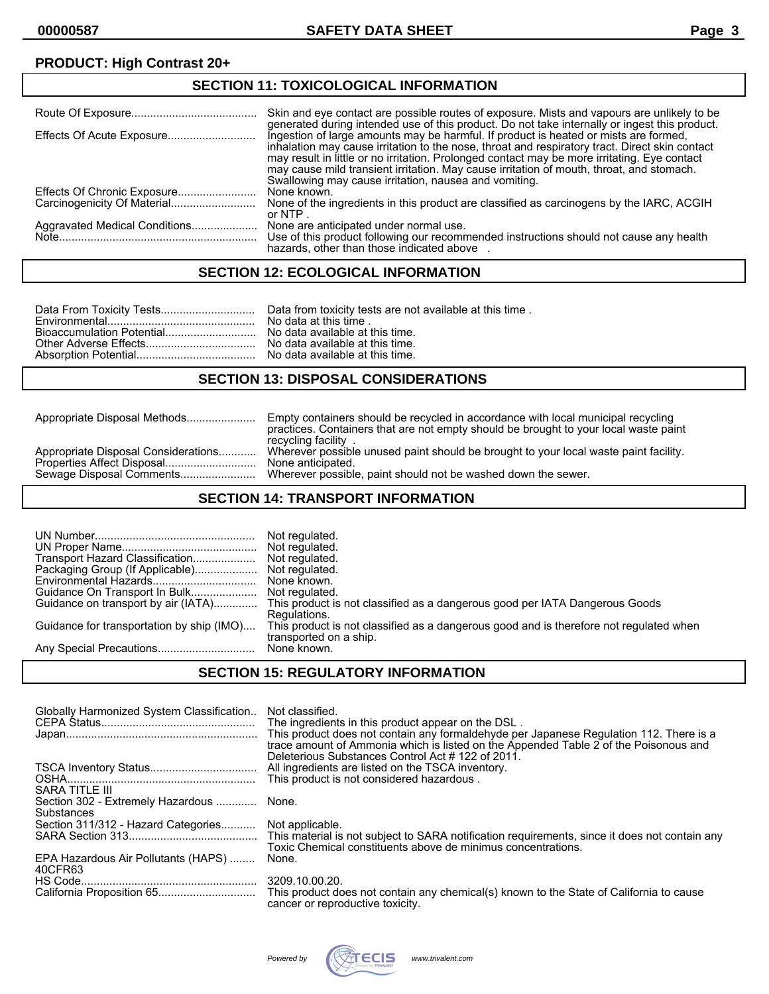## **PRODUCT: High Contrast 20+**

| <b>SECTION 11: TOXICOLOGICAL INFORMATION</b> |                                                                                                                                                                                                                                                                                                                                                                                                                                             |  |
|----------------------------------------------|---------------------------------------------------------------------------------------------------------------------------------------------------------------------------------------------------------------------------------------------------------------------------------------------------------------------------------------------------------------------------------------------------------------------------------------------|--|
|                                              | Skin and eye contact are possible routes of exposure. Mists and vapours are unlikely to be<br>generated during intended use of this product. Do not take internally or ingest this product.                                                                                                                                                                                                                                                 |  |
|                                              | Ingestion of large amounts may be harmful. If product is heated or mists are formed,<br>inhalation may cause irritation to the nose, throat and respiratory tract. Direct skin contact<br>may result in little or no irritation. Prolonged contact may be more irritating. Eye contact<br>may cause mild transient irritation. May cause irritation of mouth, throat, and stomach.<br>Swallowing may cause irritation, nausea and vomiting. |  |
|                                              | None known.                                                                                                                                                                                                                                                                                                                                                                                                                                 |  |
|                                              | None of the ingredients in this product are classified as carcinogens by the IARC, ACGIH<br>or NTP.                                                                                                                                                                                                                                                                                                                                         |  |
|                                              | None are anticipated under normal use.<br>Use of this product following our recommended instructions should not cause any health<br>hazards, other than those indicated above                                                                                                                                                                                                                                                               |  |

#### **SECTION 12: ECOLOGICAL INFORMATION**

#### **SECTION 13: DISPOSAL CONSIDERATIONS**

Appropriate Disposal Methods...................... Empty containers should be recycled in accordance with local municipal recycling practices. Containers that are not empty should be brought to your local waste paint recycling facility . Wherever possible unused paint should be brought to your local waste paint facility.<br>None anticipated. Properties Affect Disposal............................. None anticipated. Wherever possible, paint should not be washed down the sewer.

#### **SECTION 14: TRANSPORT INFORMATION**

| Transport Hazard Classification<br>Packaging Group (If Applicable)<br>Guidance for transportation by ship (IMO) | Not regulated.<br>Not regulated.<br>Not regulated.<br>None known.<br>Guidance on transport by air (IATA) This product is not classified as a dangerous good per IATA Dangerous Goods<br>Regulations.<br>This product is not classified as a dangerous good and is therefore not regulated when<br>transported on a ship. |
|-----------------------------------------------------------------------------------------------------------------|--------------------------------------------------------------------------------------------------------------------------------------------------------------------------------------------------------------------------------------------------------------------------------------------------------------------------|
|                                                                                                                 | None known.                                                                                                                                                                                                                                                                                                              |

#### **SECTION 15: REGULATORY INFORMATION**

| Globally Harmonized System Classification              | Not classified.<br>The ingredients in this product appear on the DSL.<br>This product does not contain any formaldehyde per Japanese Regulation 112. There is a<br>trace amount of Ammonia which is listed on the Appended Table 2 of the Poisonous and |
|--------------------------------------------------------|---------------------------------------------------------------------------------------------------------------------------------------------------------------------------------------------------------------------------------------------------------|
| SARA TITLE III                                         | Deleterious Substances Control Act #122 of 2011.<br>All ingredients are listed on the TSCA inventory.<br>This product is not considered hazardous.                                                                                                      |
| Section 302 - Extremely Hazardous  None.<br>Substances |                                                                                                                                                                                                                                                         |
| Section 311/312 - Hazard Categories Not applicable.    | Toxic Chemical constituents above de minimus concentrations.                                                                                                                                                                                            |
| EPA Hazardous Air Pollutants (HAPS)<br>40CFR63         | None.                                                                                                                                                                                                                                                   |
|                                                        | 3209.10.00.20.<br>This product does not contain any chemical(s) known to the State of California to cause<br>cancer or reproductive toxicity.                                                                                                           |